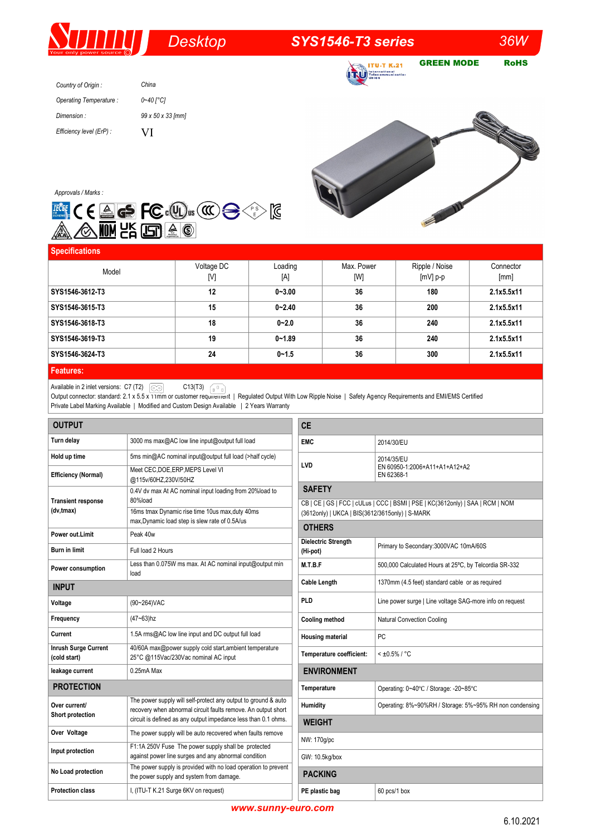## *Desktop SYS1546-T3 series 36W*

GREEN MODE RoHS **ITU-T K.21 TEU** HELENIGE

*Country of Origin : Operating Temperature : Dimension : Efficiency level (ErP) : China 0~40 [°C] 99 x 50 x 33 [mm]*  VI



*Approvals / Marks :*



| <b>Specifications</b> |                   |                |                   |                              |                   |
|-----------------------|-------------------|----------------|-------------------|------------------------------|-------------------|
| Model                 | Voltage DC<br>[V] | Loading<br>[A] | Max. Power<br>[W] | Ripple / Noise<br>$[mV]$ p-p | Connector<br>[mm] |
| SYS1546-3612-T3       | 12                | $0 - 3.00$     | 36                | 180                          | 2.1x5.5x11        |
| SYS1546-3615-T3       | 15                | $0 - 2.40$     | 36                | 200                          | 2.1x5.5x11        |
| SYS1546-3618-T3       | 18                | $0 - 2.0$      | 36                | 240                          | 2.1x5.5x11        |
| SYS1546-3619-T3       | 19                | $0 - 1.89$     | 36                | 240                          | 2.1x5.5x11        |
| SYS1546-3624-T3       | 24                | $0 - 1.5$      | 36                | 300                          | 2.1x5.5x11        |
| <b>Features:</b>      |                   |                |                   |                              |                   |

Available in 2 inlet versions:  $C7(T2)$   $\lceil \textcircled{c}_\text{o} \rceil$   $C13(T3)$ 

Output connector: standard: 2.1 x 5.5 x 11mm or customer requirement | Regulated Output With Low Ripple Noise | Safety Agency Requirements and EMI/EMS Certified Private Label Marking Available | Modified and Custom Design Available | 2 Years Warranty

| <b>OUTPUT</b>                               |                                                                                                                                 | <b>CE</b>                                                                                       |                                                           |  |  |
|---------------------------------------------|---------------------------------------------------------------------------------------------------------------------------------|-------------------------------------------------------------------------------------------------|-----------------------------------------------------------|--|--|
| Turn delay                                  | 3000 ms max@AC low line input@output full load                                                                                  | <b>EMC</b>                                                                                      | 2014/30/EU                                                |  |  |
| Hold up time                                | 5ms min@AC nominal input@output full load (>half cycle)                                                                         |                                                                                                 | 2014/35/EU<br>EN 60950-1:2006+A11+A1+A12+A2<br>EN 62368-1 |  |  |
| <b>Efficiency (Normal)</b>                  | Meet CEC, DOE, ERP, MEPS Level VI<br>@115v/60HZ,230V/50HZ                                                                       | LVD                                                                                             |                                                           |  |  |
| <b>Transient response</b><br>(dv,tmax)      | 0.4V dv max At AC nominal input loading from 20%load to<br>80%load                                                              | <b>SAFETY</b><br>CB   CE   GS   FCC   cULus   CCC   BSMI   PSE   KC(3612only)   SAA   RCM   NOM |                                                           |  |  |
|                                             | 16ms tmax Dynamic rise time 10us max, duty 40ms<br>max, Dynamic load step is slew rate of 0.5A/us                               | (3612only)   UKCA   BIS(3612/3615only)   S-MARK                                                 |                                                           |  |  |
| Power out.Limit                             | Peak 40w                                                                                                                        | <b>OTHERS</b>                                                                                   |                                                           |  |  |
| <b>Burn in limit</b>                        | Full load 2 Hours                                                                                                               | <b>Dielectric Strength</b><br>(Hi-pot)                                                          | Primary to Secondary: 3000VAC 10mA/60S                    |  |  |
| Power consumption                           | Less than 0.075W ms max. At AC nominal input@output min<br>load                                                                 | M.T.B.F                                                                                         | 500,000 Calculated Hours at 25°C, by Telcordia SR-332     |  |  |
| <b>INPUT</b>                                |                                                                                                                                 | <b>Cable Length</b>                                                                             | 1370mm (4.5 feet) standard cable or as required           |  |  |
| Voltage                                     | (90~264) VAC                                                                                                                    | <b>PLD</b>                                                                                      | Line power surge   Line voltage SAG-more info on request  |  |  |
| Frequency                                   | $(47 - 63)$ hz                                                                                                                  | <b>Cooling method</b>                                                                           | Natural Convection Cooling                                |  |  |
| Current                                     | 1.5A rms@AC low line input and DC output full load                                                                              | <b>Housing material</b>                                                                         | PC                                                        |  |  |
| <b>Inrush Surge Current</b><br>(cold start) | 40/60A max@power supply cold start, ambient temperature<br>25°C @115Vac/230Vac nominal AC input                                 | Temperature coefficient:                                                                        | $< 10.5\% / °C$                                           |  |  |
| leakage current                             | $0.25mA$ Max                                                                                                                    | <b>ENVIRONMENT</b>                                                                              |                                                           |  |  |
| <b>PROTECTION</b>                           |                                                                                                                                 | Temperature                                                                                     | Operating: 0~40°C / Storage: -20~85°C                     |  |  |
| Over current/<br>Short protection           | The power supply will self-protect any output to ground & auto<br>recovery when abnormal circuit faults remove. An output short | Humidity                                                                                        | Operating: 8%~90%RH / Storage: 5%~95% RH non condensing   |  |  |
| Over Voltage                                | circuit is defined as any output impedance less than 0.1 ohms.<br>The power supply will be auto recovered when faults remove    | <b>WEIGHT</b>                                                                                   |                                                           |  |  |
|                                             | F1:1A 250V Fuse The power supply shall be protected                                                                             | NW: 170g/pc                                                                                     |                                                           |  |  |
| Input protection                            | against power line surges and any abnormal condition                                                                            |                                                                                                 | GW: 10.5kg/box                                            |  |  |
| No Load protection                          | The power supply is provided with no load operation to prevent<br>the power supply and system from damage.                      | <b>PACKING</b>                                                                                  |                                                           |  |  |
| <b>Protection class</b>                     | I, (ITU-T K.21 Surge 6KV on request)                                                                                            | PE plastic bag                                                                                  | 60 pcs/1 box                                              |  |  |